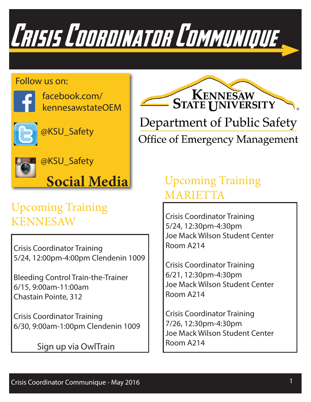

#### Follow us on:



facebook.com/ kennesawstateOEM



@KSU\_Safety



@KSU\_Safety



### Upcoming Training KENNESAW Crisis Coordinator Training

 Crisis Coordinator Training 5/24, 12:00pm-4:00pm Clendenin 1009

 Bleeding Control Train-the-Trainer 6/15, 9:00am-11:00am Chastain Pointe, 312

 Crisis Coordinator Training 6/30, 9:00am-1:00pm Clendenin 1009

Sign up via OwlTrain



**Office of Emergency Management** 

### Upcoming Training MARIETTA

 5/24, 12:30pm-4:30pm Joe Mack Wilson Student Center Room A214

 Crisis Coordinator Training 6/21, 12:30pm-4:30pm Joe Mack Wilson Student Center Room A214

 Crisis Coordinator Training 7/26, 12:30pm-4:30pm Joe Mack Wilson Student Center Room A214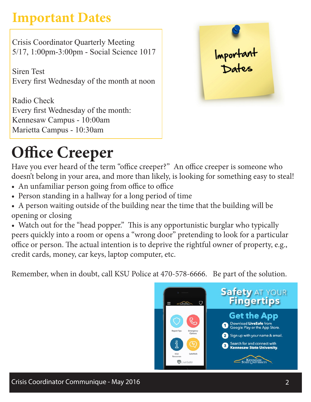## **Important Dates**

 Crisis Coordinator Quarterly Meeting 5/17, 1:00pm-3:00pm - Social Science 1017

 Siren Test Every first Wednesday of the month at noon

 Radio Check Every first Wednesday of the month: Kennesaw Campus - 10:00am Marietta Campus - 10:30am



# **Office Creeper**

Have you ever heard of the term "office creeper?" An office creeper is someone who doesn't belong in your area, and more than likely, is looking for something easy to steal!

- An unfamiliar person going from office to office
- Person standing in a hallway for a long period of time
- A person waiting outside of the building near the time that the building will be opening or closing

• Watch out for the "head popper." This is any opportunistic burglar who typically peers quickly into a room or opens a "wrong door" pretending to look for a particular office or person. The actual intention is to deprive the rightful owner of property, e.g., credit cards, money, car keys, laptop computer, etc.

Remember, when in doubt, call KSU Police at 470-578-6666. Be part of the solution.

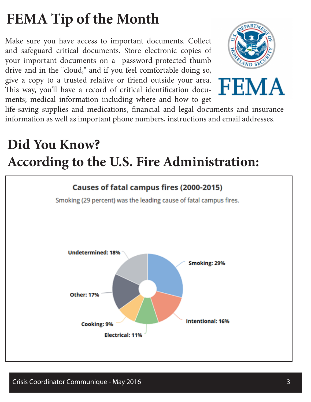# **FEMA Tip of the Month**

Make sure you have access to important documents. Collect and safeguard critical documents. Store electronic copies of your important documents on a password-protected thumb drive and in the "cloud," and if you feel comfortable doing so, give a copy to a trusted relative or friend outside your area. This way, you'll have a record of critical identification documents; medical information including where and how to get





life-saving supplies and medications, financial and legal documents and insurance information as well as important phone numbers, instructions and email addresses.

## **Did You Know? According to the U.S. Fire Administration:**